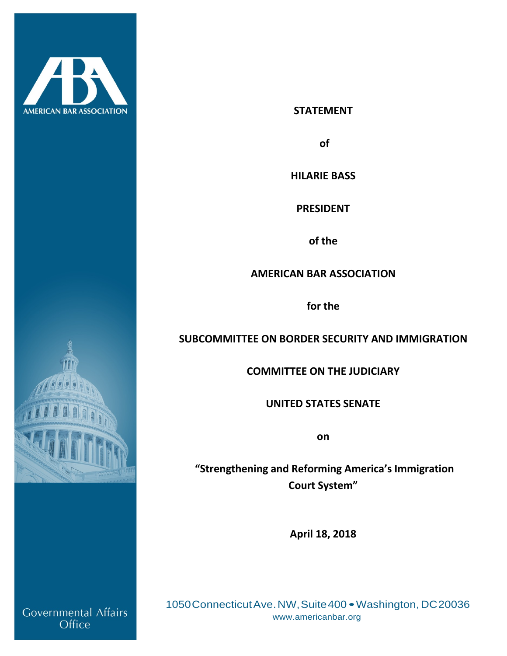



**of** 

**HILARIE BASS**

**PRESIDENT** 

**of the**

**AMERICAN BAR ASSOCIATION**

**for the** 

# **SUBCOMMITTEE ON BORDER SECURITY AND IMMIGRATION**

**COMMITTEE ON THE JUDICIARY**

**UNITED STATES SENATE**

**on**

**"Strengthening and Reforming America's Immigration Court System"**

**April 18, 2018**

1050ConnecticutAve.NW,Suite400 •Washington, DC20036 [www.americanbar.org](http://www.americanbar.org/)



Governmental Affairs Office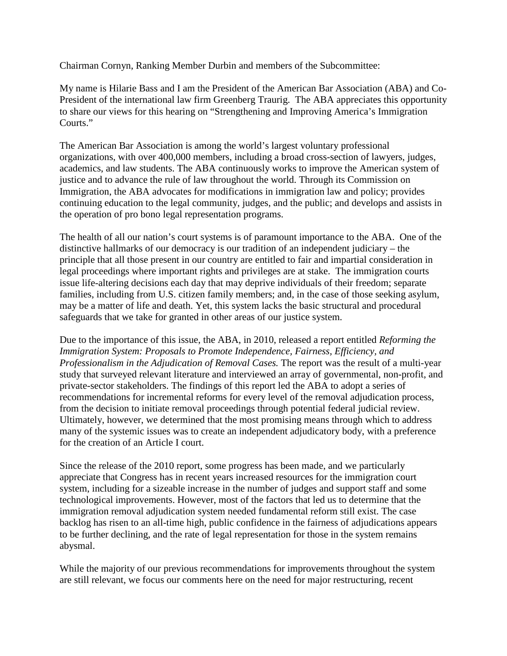Chairman Cornyn, Ranking Member Durbin and members of the Subcommittee:

My name is Hilarie Bass and I am the President of the American Bar Association (ABA) and Co-President of the international law firm Greenberg Traurig. The ABA appreciates this opportunity to share our views for this hearing on "Strengthening and Improving America's Immigration Courts."

The American Bar Association is among the world's largest voluntary professional organizations, with over 400,000 members, including a broad cross-section of lawyers, judges, academics, and law students. The ABA continuously works to improve the American system of justice and to advance the rule of law throughout the world. Through its Commission on Immigration, the ABA advocates for modifications in immigration law and policy; provides continuing education to the legal community, judges, and the public; and develops and assists in the operation of pro bono legal representation programs.

The health of all our nation's court systems is of paramount importance to the ABA. One of the distinctive hallmarks of our democracy is our tradition of an independent judiciary – the principle that all those present in our country are entitled to fair and impartial consideration in legal proceedings where important rights and privileges are at stake. The immigration courts issue life-altering decisions each day that may deprive individuals of their freedom; separate families, including from U.S. citizen family members; and, in the case of those seeking asylum, may be a matter of life and death. Yet, this system lacks the basic structural and procedural safeguards that we take for granted in other areas of our justice system.

Due to the importance of this issue, the ABA, in 2010, released a report entitled *Reforming the Immigration System: Proposals to Promote Independence, Fairness, Efficiency, and Professionalism in the Adjudication of Removal Cases.* The report was the result of a multi-year study that surveyed relevant literature and interviewed an array of governmental, non-profit, and private-sector stakeholders. The findings of this report led the ABA to adopt a series of recommendations for incremental reforms for every level of the removal adjudication process, from the decision to initiate removal proceedings through potential federal judicial review. Ultimately, however, we determined that the most promising means through which to address many of the systemic issues was to create an independent adjudicatory body, with a preference for the creation of an Article I court.

Since the release of the 2010 report, some progress has been made, and we particularly appreciate that Congress has in recent years increased resources for the immigration court system, including for a sizeable increase in the number of judges and support staff and some technological improvements. However, most of the factors that led us to determine that the immigration removal adjudication system needed fundamental reform still exist. The case backlog has risen to an all-time high, public confidence in the fairness of adjudications appears to be further declining, and the rate of legal representation for those in the system remains abysmal.

While the majority of our previous recommendations for improvements throughout the system are still relevant, we focus our comments here on the need for major restructuring, recent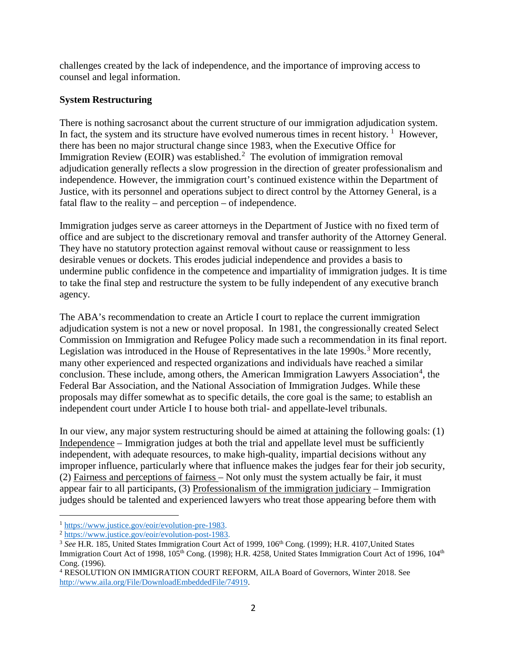challenges created by the lack of independence, and the importance of improving access to counsel and legal information.

#### **System Restructuring**

There is nothing sacrosanct about the current structure of our immigration adjudication system. In fact, the system and its structure have evolved numerous times in recent history.  $1$  However, there has been no major structural change since 1983, when the Executive Office for Immigration Review (EOIR) was established.<sup>[2](#page-2-1)</sup> The evolution of immigration removal adjudication generally reflects a slow progression in the direction of greater professionalism and independence. However, the immigration court's continued existence within the Department of Justice, with its personnel and operations subject to direct control by the Attorney General, is a fatal flaw to the reality – and perception – of independence.

Immigration judges serve as career attorneys in the Department of Justice with no fixed term of office and are subject to the discretionary removal and transfer authority of the Attorney General. They have no statutory protection against removal without cause or reassignment to less desirable venues or dockets. This erodes judicial independence and provides a basis to undermine public confidence in the competence and impartiality of immigration judges. It is time to take the final step and restructure the system to be fully independent of any executive branch agency.

The ABA's recommendation to create an Article I court to replace the current immigration adjudication system is not a new or novel proposal. In 1981, the congressionally created Select Commission on Immigration and Refugee Policy made such a recommendation in its final report. Legislation was introduced in the House of Representatives in the late  $1990s$ .<sup>[3](#page-2-2)</sup> More recently, many other experienced and respected organizations and individuals have reached a similar conclusion. These include, among others, the American Immigration Lawyers Association<sup>[4](#page-2-3)</sup>, the Federal Bar Association, and the National Association of Immigration Judges. While these proposals may differ somewhat as to specific details, the core goal is the same; to establish an independent court under Article I to house both trial- and appellate-level tribunals.

In our view, any major system restructuring should be aimed at attaining the following goals: (1) Independence – Immigration judges at both the trial and appellate level must be sufficiently independent, with adequate resources, to make high-quality, impartial decisions without any improper influence, particularly where that influence makes the judges fear for their job security, (2) Fairness and perceptions of fairness – Not only must the system actually be fair, it must appear fair to all participants, (3) Professionalism of the immigration judiciary – Immigration judges should be talented and experienced lawyers who treat those appearing before them with

<span id="page-2-0"></span><sup>1</sup> [https://www.justice.gov/eoir/evolution-pre-1983.](https://www.justice.gov/eoir/evolution-pre-1983)

<span id="page-2-1"></span><sup>2</sup> [https://www.justice.gov/eoir/evolution-post-1983.](https://www.justice.gov/eoir/evolution-post-1983)

<span id="page-2-2"></span><sup>&</sup>lt;sup>3</sup> See H.R. 185, United States Immigration Court Act of 1999, 106<sup>th</sup> Cong. (1999); H.R. 4107, United States Immigration Court Act of 1998, 105<sup>th</sup> Cong. (1998); H.R. 4258, United States Immigration Court Act of 1996, 104<sup>th</sup> Cong. (1996).

<span id="page-2-3"></span><sup>4</sup> RESOLUTION ON IMMIGRATION COURT REFORM, AILA Board of Governors, Winter 2018. See [http://www.aila.org/File/DownloadEmbeddedFile/74919.](http://www.aila.org/File/DownloadEmbeddedFile/74919)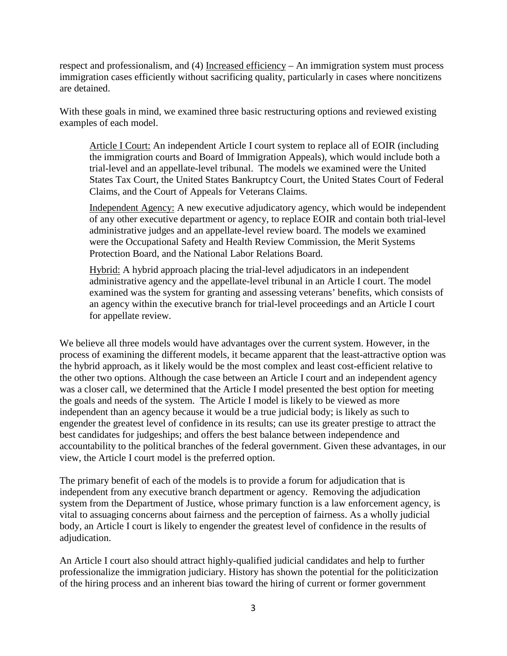respect and professionalism, and (4) Increased efficiency – An immigration system must process immigration cases efficiently without sacrificing quality, particularly in cases where noncitizens are detained.

With these goals in mind, we examined three basic restructuring options and reviewed existing examples of each model.

Article I Court: An independent Article I court system to replace all of EOIR (including the immigration courts and Board of Immigration Appeals), which would include both a trial-level and an appellate-level tribunal. The models we examined were the United States Tax Court, the United States Bankruptcy Court, the United States Court of Federal Claims, and the Court of Appeals for Veterans Claims.

Independent Agency: A new executive adjudicatory agency, which would be independent of any other executive department or agency, to replace EOIR and contain both trial-level administrative judges and an appellate-level review board. The models we examined were the Occupational Safety and Health Review Commission, the Merit Systems Protection Board, and the National Labor Relations Board.

Hybrid: A hybrid approach placing the trial-level adjudicators in an independent administrative agency and the appellate-level tribunal in an Article I court. The model examined was the system for granting and assessing veterans' benefits, which consists of an agency within the executive branch for trial-level proceedings and an Article I court for appellate review.

We believe all three models would have advantages over the current system. However, in the process of examining the different models, it became apparent that the least-attractive option was the hybrid approach, as it likely would be the most complex and least cost-efficient relative to the other two options. Although the case between an Article I court and an independent agency was a closer call, we determined that the Article I model presented the best option for meeting the goals and needs of the system. The Article I model is likely to be viewed as more independent than an agency because it would be a true judicial body; is likely as such to engender the greatest level of confidence in its results; can use its greater prestige to attract the best candidates for judgeships; and offers the best balance between independence and accountability to the political branches of the federal government. Given these advantages, in our view, the Article I court model is the preferred option.

The primary benefit of each of the models is to provide a forum for adjudication that is independent from any executive branch department or agency. Removing the adjudication system from the Department of Justice, whose primary function is a law enforcement agency, is vital to assuaging concerns about fairness and the perception of fairness. As a wholly judicial body, an Article I court is likely to engender the greatest level of confidence in the results of adjudication.

An Article I court also should attract highly-qualified judicial candidates and help to further professionalize the immigration judiciary. History has shown the potential for the politicization of the hiring process and an inherent bias toward the hiring of current or former government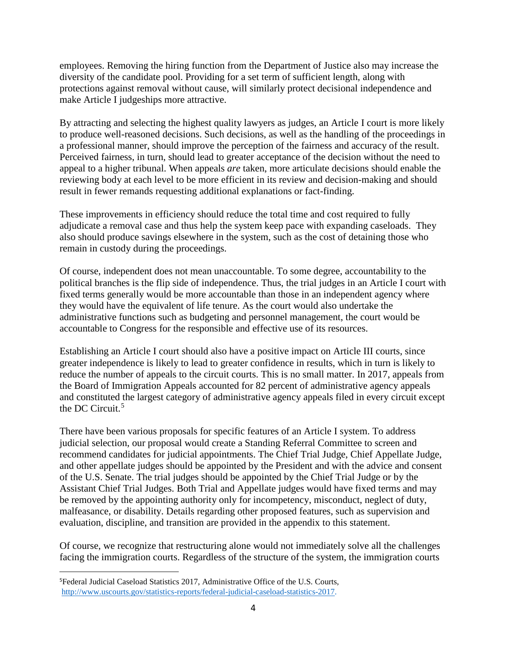employees. Removing the hiring function from the Department of Justice also may increase the diversity of the candidate pool. Providing for a set term of sufficient length, along with protections against removal without cause, will similarly protect decisional independence and make Article I judgeships more attractive.

By attracting and selecting the highest quality lawyers as judges, an Article I court is more likely to produce well-reasoned decisions. Such decisions, as well as the handling of the proceedings in a professional manner, should improve the perception of the fairness and accuracy of the result. Perceived fairness, in turn, should lead to greater acceptance of the decision without the need to appeal to a higher tribunal. When appeals *are* taken, more articulate decisions should enable the reviewing body at each level to be more efficient in its review and decision-making and should result in fewer remands requesting additional explanations or fact-finding.

These improvements in efficiency should reduce the total time and cost required to fully adjudicate a removal case and thus help the system keep pace with expanding caseloads. They also should produce savings elsewhere in the system, such as the cost of detaining those who remain in custody during the proceedings.

Of course, independent does not mean unaccountable. To some degree, accountability to the political branches is the flip side of independence. Thus, the trial judges in an Article I court with fixed terms generally would be more accountable than those in an independent agency where they would have the equivalent of life tenure. As the court would also undertake the administrative functions such as budgeting and personnel management, the court would be accountable to Congress for the responsible and effective use of its resources.

Establishing an Article I court should also have a positive impact on Article III courts, since greater independence is likely to lead to greater confidence in results, which in turn is likely to reduce the number of appeals to the circuit courts. This is no small matter. In 2017, appeals from the Board of Immigration Appeals accounted for 82 percent of administrative agency appeals and constituted the largest category of administrative agency appeals filed in every circuit except the DC Circuit.<sup>[5](#page-4-0)</sup>

There have been various proposals for specific features of an Article I system. To address judicial selection, our proposal would create a Standing Referral Committee to screen and recommend candidates for judicial appointments. The Chief Trial Judge, Chief Appellate Judge, and other appellate judges should be appointed by the President and with the advice and consent of the U.S. Senate. The trial judges should be appointed by the Chief Trial Judge or by the Assistant Chief Trial Judges. Both Trial and Appellate judges would have fixed terms and may be removed by the appointing authority only for incompetency, misconduct, neglect of duty, malfeasance, or disability. Details regarding other proposed features, such as supervision and evaluation, discipline, and transition are provided in the appendix to this statement.

Of course, we recognize that restructuring alone would not immediately solve all the challenges facing the immigration courts. Regardless of the structure of the system, the immigration courts

<span id="page-4-0"></span><sup>—&</sup>lt;br>5 Federal Judicial Caseload Statistics 2017, Administrative Office of the U.S. Courts, [http://www.uscourts.gov/statistics-reports/federal-judicial-caseload-statistics-2017.](http://www.uscourts.gov/statistics-reports/federal-judicial-caseload-statistics-2017)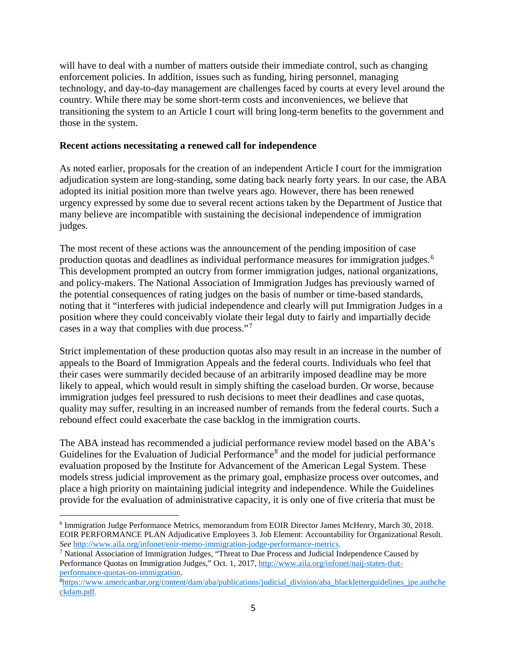will have to deal with a number of matters outside their immediate control, such as changing enforcement policies. In addition, issues such as funding, hiring personnel, managing technology, and day-to-day management are challenges faced by courts at every level around the country. While there may be some short-term costs and inconveniences, we believe that transitioning the system to an Article I court will bring long-term benefits to the government and those in the system.

#### **Recent actions necessitating a renewed call for independence**

As noted earlier, proposals for the creation of an independent Article I court for the immigration adjudication system are long-standing, some dating back nearly forty years. In our case, the ABA adopted its initial position more than twelve years ago. However, there has been renewed urgency expressed by some due to several recent actions taken by the Department of Justice that many believe are incompatible with sustaining the decisional independence of immigration judges.

The most recent of these actions was the announcement of the pending imposition of case production quotas and deadlines as individual performance measures for immigration judges.[6](#page-5-0) This development prompted an outcry from former immigration judges, national organizations, and policy-makers. The National Association of Immigration Judges has previously warned of the potential consequences of rating judges on the basis of number or time-based standards, noting that it "interferes with judicial independence and clearly will put Immigration Judges in a position where they could conceivably violate their legal duty to fairly and impartially decide cases in a way that complies with due process."[7](#page-5-1)

Strict implementation of these production quotas also may result in an increase in the number of appeals to the Board of Immigration Appeals and the federal courts. Individuals who feel that their cases were summarily decided because of an arbitrarily imposed deadline may be more likely to appeal, which would result in simply shifting the caseload burden. Or worse, because immigration judges feel pressured to rush decisions to meet their deadlines and case quotas, quality may suffer, resulting in an increased number of remands from the federal courts. Such a rebound effect could exacerbate the case backlog in the immigration courts.

The ABA instead has recommended a judicial performance review model based on the ABA's Guidelines for the Evaluation of Judicial Performance<sup>[8](#page-5-2)</sup> and the model for judicial performance evaluation proposed by the Institute for Advancement of the American Legal System. These models stress judicial improvement as the primary goal, emphasize process over outcomes, and place a high priority on maintaining judicial integrity and independence. While the Guidelines provide for the evaluation of administrative capacity, it is only one of five criteria that must be

<span id="page-5-0"></span><sup>6</sup> Immigration Judge Performance Metrics, memorandum from EOIR Director James McHenry, March 30, 2018. EOIR PERFORMANCE PLAN Adjudicative Employees 3. Job Element: Accountability for Organizational Result. *See* [http://www.aila.org/infonet/eoir-memo-immigration-judge-performance-metrics.](http://www.aila.org/infonet/eoir-memo-immigration-judge-performance-metrics)

<span id="page-5-1"></span><sup>7</sup> National Association of Immigration Judges, "Threat to Due Process and Judicial Independence Caused by Performance Quotas on Immigration Judges," Oct. 1, 2017[, http://www.aila.org/infonet/naij-states-that](http://www.aila.org/infonet/naij-states-that-performance-quotas-on-immigration)[performance-quotas-on-immigration.](http://www.aila.org/infonet/naij-states-that-performance-quotas-on-immigration) 8

<span id="page-5-2"></span> $h$ <sup>8</sup>https://www.americanbar.org/content/dam/aba/publications/judicial division/aba blackletterguidelines jpe.authche [ckdam.pdf.](https://www.americanbar.org/content/dam/aba/publications/judicial_division/aba_blackletterguidelines_jpe.authcheckdam.pdf)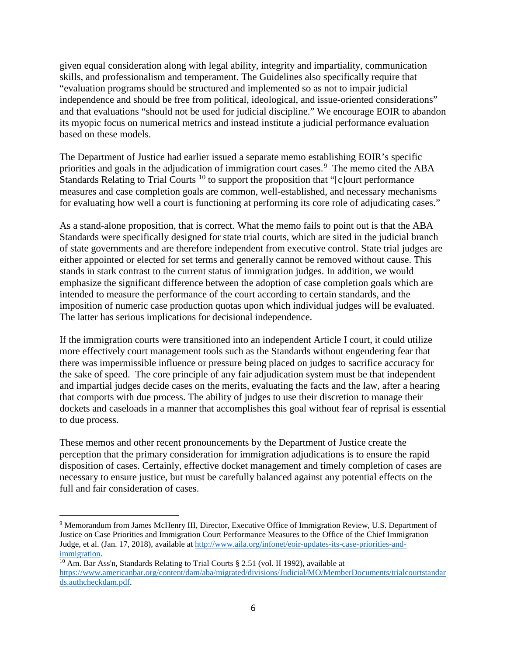given equal consideration along with legal ability, integrity and impartiality, communication skills, and professionalism and temperament. The Guidelines also specifically require that "evaluation programs should be structured and implemented so as not to impair judicial independence and should be free from political, ideological, and issue-oriented considerations" and that evaluations "should not be used for judicial discipline." We encourage EOIR to abandon its myopic focus on numerical metrics and instead institute a judicial performance evaluation based on these models.

The Department of Justice had earlier issued a separate memo establishing EOIR's specific priorities and goals in the adjudication of immigration court cases.<sup>[9](#page-6-0)</sup> The memo cited the ABA Standards Relating to Trial Courts<sup>[10](#page-6-1)</sup> to support the proposition that " $[c]$ ourt performance" measures and case completion goals are common, well-established, and necessary mechanisms for evaluating how well a court is functioning at performing its core role of adjudicating cases."

As a stand-alone proposition, that is correct. What the memo fails to point out is that the ABA Standards were specifically designed for state trial courts, which are sited in the judicial branch of state governments and are therefore independent from executive control. State trial judges are either appointed or elected for set terms and generally cannot be removed without cause. This stands in stark contrast to the current status of immigration judges. In addition, we would emphasize the significant difference between the adoption of case completion goals which are intended to measure the performance of the court according to certain standards, and the imposition of numeric case production quotas upon which individual judges will be evaluated. The latter has serious implications for decisional independence.

If the immigration courts were transitioned into an independent Article I court, it could utilize more effectively court management tools such as the Standards without engendering fear that there was impermissible influence or pressure being placed on judges to sacrifice accuracy for the sake of speed. The core principle of any fair adjudication system must be that independent and impartial judges decide cases on the merits, evaluating the facts and the law, after a hearing that comports with due process. The ability of judges to use their discretion to manage their dockets and caseloads in a manner that accomplishes this goal without fear of reprisal is essential to due process.

These memos and other recent pronouncements by the Department of Justice create the perception that the primary consideration for immigration adjudications is to ensure the rapid disposition of cases. Certainly, effective docket management and timely completion of cases are necessary to ensure justice, but must be carefully balanced against any potential effects on the full and fair consideration of cases.

<span id="page-6-0"></span><sup>9</sup> Memorandum from James McHenry III, Director, Executive Office of Immigration Review, U.S. Department of Justice on Case Priorities and Immigration Court Performance Measures to the Office of the Chief Immigration Judge, et al. (Jan. 17, 2018), available a[t http://www.aila.org/infonet/eoir-updates-its-case-priorities-and](http://www.aila.org/infonet/eoir-updates-its-case-priorities-and-immigration)[immigration.](http://www.aila.org/infonet/eoir-updates-its-case-priorities-and-immigration)

<span id="page-6-1"></span><sup>&</sup>lt;sup>10</sup> Am. Bar Ass'n, Standards Relating to Trial Courts  $\S 2.51$  (vol. II 1992), available at [https://www.americanbar.org/content/dam/aba/migrated/divisions/Judicial/MO/MemberDocuments/trialcourtstandar](https://www.americanbar.org/content/dam/aba/migrated/divisions/Judicial/MO/MemberDocuments/trialcourtstandar%20ds.authcheckdam.pdf)  [ds.authcheckdam.pdf.](https://www.americanbar.org/content/dam/aba/migrated/divisions/Judicial/MO/MemberDocuments/trialcourtstandar%20ds.authcheckdam.pdf)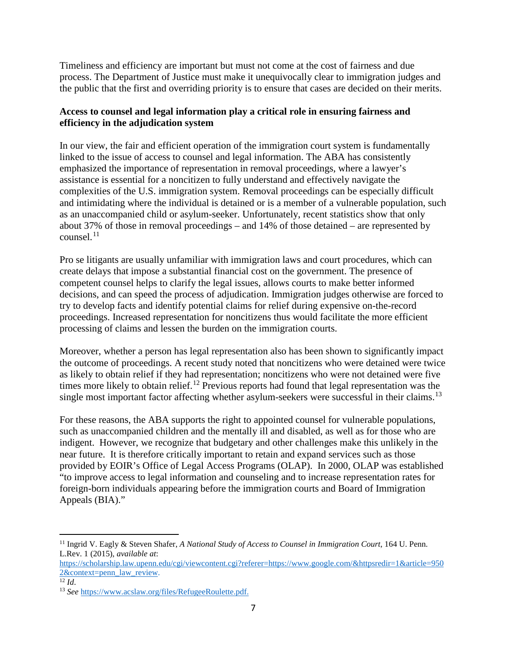Timeliness and efficiency are important but must not come at the cost of fairness and due process. The Department of Justice must make it unequivocally clear to immigration judges and the public that the first and overriding priority is to ensure that cases are decided on their merits.

### **Access to counsel and legal information play a critical role in ensuring fairness and efficiency in the adjudication system**

In our view, the fair and efficient operation of the immigration court system is fundamentally linked to the issue of access to counsel and legal information. The ABA has consistently emphasized the importance of representation in removal proceedings, where a lawyer's assistance is essential for a noncitizen to fully understand and effectively navigate the complexities of the U.S. immigration system. Removal proceedings can be especially difficult and intimidating where the individual is detained or is a member of a vulnerable population, such as an unaccompanied child or asylum-seeker. Unfortunately, recent statistics show that only about 37% of those in removal proceedings – and 14% of those detained – are represented by counsel. [11](#page-7-0)

Pro se litigants are usually unfamiliar with immigration laws and court procedures, which can create delays that impose a substantial financial cost on the government. The presence of competent counsel helps to clarify the legal issues, allows courts to make better informed decisions, and can speed the process of adjudication. Immigration judges otherwise are forced to try to develop facts and identify potential claims for relief during expensive on-the-record proceedings. Increased representation for noncitizens thus would facilitate the more efficient processing of claims and lessen the burden on the immigration courts.

Moreover, whether a person has legal representation also has been shown to significantly impact the outcome of proceedings. A recent study noted that noncitizens who were detained were twice as likely to obtain relief if they had representation; noncitizens who were not detained were five times more likely to obtain relief.<sup>[12](#page-7-1)</sup> Previous reports had found that legal representation was the single most important factor affecting whether asylum-seekers were successful in their claims.<sup>[13](#page-7-2)</sup>

For these reasons, the ABA supports the right to appointed counsel for vulnerable populations, such as unaccompanied children and the mentally ill and disabled, as well as for those who are indigent. However, we recognize that budgetary and other challenges make this unlikely in the near future. It is therefore critically important to retain and expand services such as those provided by EOIR's Office of Legal Access Programs (OLAP). In 2000, OLAP was established "to improve access to legal information and counseling and to increase representation rates for foreign-born individuals appearing before the immigration courts and Board of Immigration Appeals (BIA)."

<span id="page-7-0"></span> $\overline{a}$ <sup>11</sup> Ingrid V. Eagly & Steven Shafer, *A National Study of Access to Counsel in Immigration Court*, 164 U. Penn. L.Rev. 1 (2015), *available at*:

[https://scholarship.law.upenn.edu/cgi/viewcontent.cgi?referer=https://www.google.com/&httpsredir=1&article=950](https://scholarship.law.upenn.edu/cgi/viewcontent.cgi?referer=https://www.google.com/&httpsredir=1&article=9502&context=penn_law_review)  $\frac{2\&\text{context}=p\text{enn}}{12}\overline{\text{law}}$  review.

<span id="page-7-1"></span>

<span id="page-7-2"></span><sup>&</sup>lt;sup>13</sup> *See* [https://www.acslaw.org/files/RefugeeRoulette.pdf.](https://www.acslaw.org/files/RefugeeRoulette.pdf)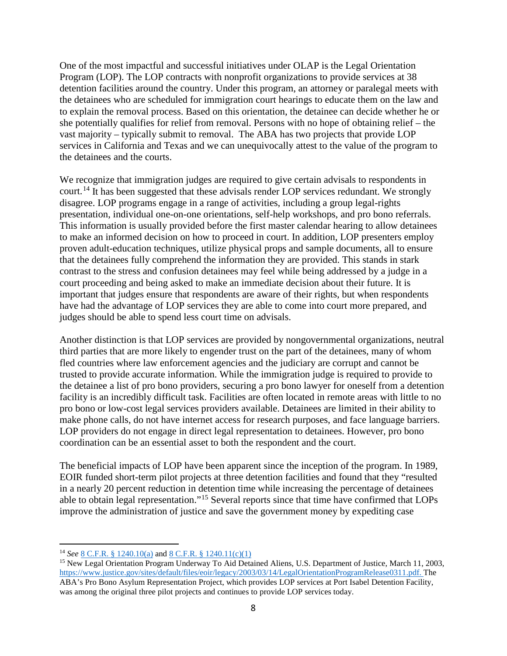One of the most impactful and successful initiatives under OLAP is the Legal Orientation Program (LOP). The LOP contracts with nonprofit organizations to provide services at 38 detention facilities around the country. Under this program, an attorney or paralegal meets with the detainees who are scheduled for immigration court hearings to educate them on the law and to explain the removal process. Based on this orientation, the detainee can decide whether he or she potentially qualifies for relief from removal. Persons with no hope of obtaining relief – the vast majority – typically submit to removal. The ABA has two projects that provide LOP services in California and Texas and we can unequivocally attest to the value of the program to the detainees and the courts.

We recognize that immigration judges are required to give certain advisals to respondents in court.<sup>[14](#page-8-0)</sup> It has been suggested that these advisals render LOP services redundant. We strongly disagree. LOP programs engage in a range of activities, including a group legal-rights presentation, individual one-on-one orientations, self-help workshops, and pro bono referrals. This information is usually provided before the first master calendar hearing to allow detainees to make an informed decision on how to proceed in court. In addition, LOP presenters employ proven adult-education techniques, utilize physical props and sample documents, all to ensure that the detainees fully comprehend the information they are provided. This stands in stark contrast to the stress and confusion detainees may feel while being addressed by a judge in a court proceeding and being asked to make an immediate decision about their future. It is important that judges ensure that respondents are aware of their rights, but when respondents have had the advantage of LOP services they are able to come into court more prepared, and judges should be able to spend less court time on advisals.

Another distinction is that LOP services are provided by nongovernmental organizations, neutral third parties that are more likely to engender trust on the part of the detainees, many of whom fled countries where law enforcement agencies and the judiciary are corrupt and cannot be trusted to provide accurate information. While the immigration judge is required to provide to the detainee a list of pro bono providers, securing a pro bono lawyer for oneself from a detention facility is an incredibly difficult task. Facilities are often located in remote areas with little to no pro bono or low-cost legal services providers available. Detainees are limited in their ability to make phone calls, do not have internet access for research purposes, and face language barriers. LOP providers do not engage in direct legal representation to detainees. However, pro bono coordination can be an essential asset to both the respondent and the court.

The beneficial impacts of LOP have been apparent since the inception of the program. In 1989, EOIR funded short-term pilot projects at three detention facilities and found that they "resulted in a nearly 20 percent reduction in detention time while increasing the percentage of detainees able to obtain legal representation."[15](#page-8-1) Several reports since that time have confirmed that LOPs improve the administration of justice and save the government money by expediting case

<span id="page-8-0"></span><sup>14</sup> *See* [8 C.F.R. § 1240.10\(a\)](https://www.law.cornell.edu/cfr/text/8/1240.10) and [8 C.F.R. § 1240.11\(c\)\(1\)](https://www.law.cornell.edu/cfr/text/8/1240.11)

<span id="page-8-1"></span><sup>15</sup> New Legal Orientation Program Underway To Aid Detained Aliens, U.S. Department of Justice, March 11, 2003, [https://www.justice.gov/sites/default/files/eoir/legacy/2003/03/14/LegalOrientationProgramRelease0311.pdf.](https://www.justice.gov/sites/default/files/eoir/legacy/2003/03/14/LegalOrientationProgramRelease0311.pdf) The ABA's Pro Bono Asylum Representation Project, which provides LOP services at Port Isabel Detention Facility, was among the original three pilot projects and continues to provide LOP services today.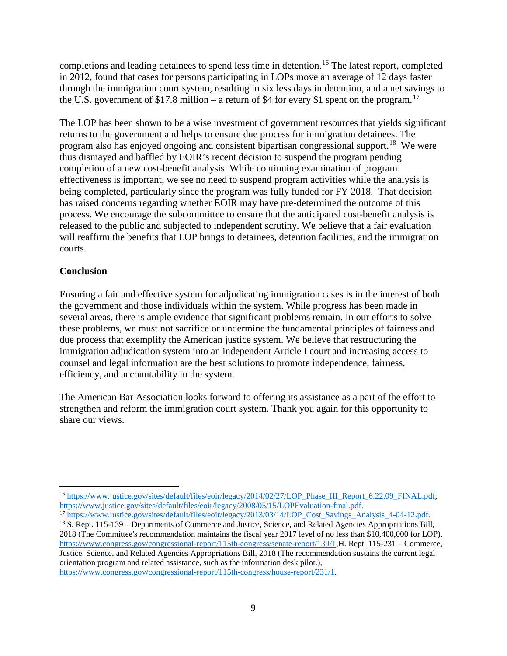completions and leading detainees to spend less time in detention.<sup>[16](#page-9-0)</sup> The latest report, completed in 2012, found that cases for persons participating in LOPs move an average of 12 days faster through the immigration court system, resulting in six less days in detention, and a net savings to the U.S. government of \$[17](#page-9-1).8 million – a return of \$4 for every \$1 spent on the program.<sup>17</sup>

The LOP has been shown to be a wise investment of government resources that yields significant returns to the government and helps to ensure due process for immigration detainees. The program also has enjoyed ongoing and consistent bipartisan congressional support.<sup>18</sup> We were thus dismayed and baffled by EOIR's recent decision to suspend the program pending completion of a new cost-benefit analysis. While continuing examination of program effectiveness is important, we see no need to suspend program activities while the analysis is being completed, particularly since the program was fully funded for FY 2018. That decision has raised concerns regarding whether EOIR may have pre-determined the outcome of this process. We encourage the subcommittee to ensure that the anticipated cost-benefit analysis is released to the public and subjected to independent scrutiny. We believe that a fair evaluation will reaffirm the benefits that LOP brings to detainees, detention facilities, and the immigration courts.

#### **Conclusion**

 $\overline{a}$ 

Ensuring a fair and effective system for adjudicating immigration cases is in the interest of both the government and those individuals within the system. While progress has been made in several areas, there is ample evidence that significant problems remain. In our efforts to solve these problems, we must not sacrifice or undermine the fundamental principles of fairness and due process that exemplify the American justice system. We believe that restructuring the immigration adjudication system into an independent Article I court and increasing access to counsel and legal information are the best solutions to promote independence, fairness, efficiency, and accountability in the system.

The American Bar Association looks forward to offering its assistance as a part of the effort to strengthen and reform the immigration court system. Thank you again for this opportunity to share our views.

<span id="page-9-0"></span><sup>&</sup>lt;sup>16</sup> [https://www.justice.gov/sites/default/files/eoir/legacy/2014/02/27/LOP\\_Phase\\_III\\_Report\\_6.22.09\\_FINAL.pdf;](https://www.justice.gov/sites/default/files/eoir/legacy/2014/02/27/LOP_Phase_III_Report_6.22.09_FINAL.pdf) [https://www.justice.gov/sites/default/files/eoir/legacy/2008/05/15/LOPEvaluation-final.pdf.](https://www.justice.gov/sites/default/files/eoir/legacy/2008/05/15/LOPEvaluation-final.pdf)

<span id="page-9-2"></span><span id="page-9-1"></span><sup>&</sup>lt;sup>17</sup> [https://www.justice.gov/sites/default/files/eoir/legacy/2013/03/14/LOP\\_Cost\\_Savings\\_Analysis\\_4-04-12.pdf.](https://www.justice.gov/sites/default/files/eoir/legacy/2013/03/14/LOP_Cost_Savings_Analysis_4-04-12.pdf) <sup>18</sup> S. Rept. 115-139 – Departments of Commerce and Justice, Science, and Related Agencies Appropriations Bill, 2018 (The Committee's recommendation maintains the fiscal year 2017 level of no less than \$10,400,000 for LOP), [https://www.congress.gov/congressional-report/115th-congress/senate-report/139/1;](https://www.congress.gov/congressional-report/115th-congress/senate-report/139/1)H. Rept. 115-231 – Commerce, Justice, Science, and Related Agencies Appropriations Bill, 2018 (The recommendation sustains the current legal orientation program and related assistance, such as the information desk pilot.), [https://www.congress.gov/congressional-report/115th-congress/house-report/231/1.](https://www.congress.gov/congressional-report/115th-congress/house-report/231/1)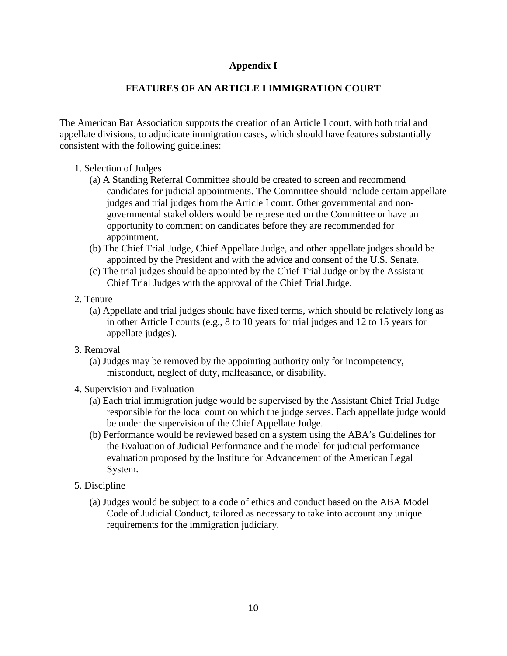### **Appendix I**

## **FEATURES OF AN ARTICLE I IMMIGRATION COURT**

The American Bar Association supports the creation of an Article I court, with both trial and appellate divisions, to adjudicate immigration cases, which should have features substantially consistent with the following guidelines:

- 1. Selection of Judges
	- (a) A Standing Referral Committee should be created to screen and recommend candidates for judicial appointments. The Committee should include certain appellate judges and trial judges from the Article I court. Other governmental and nongovernmental stakeholders would be represented on the Committee or have an opportunity to comment on candidates before they are recommended for appointment.
	- (b) The Chief Trial Judge, Chief Appellate Judge, and other appellate judges should be appointed by the President and with the advice and consent of the U.S. Senate.
	- (c) The trial judges should be appointed by the Chief Trial Judge or by the Assistant Chief Trial Judges with the approval of the Chief Trial Judge.
- 2. Tenure
	- (a) Appellate and trial judges should have fixed terms, which should be relatively long as in other Article I courts (e.g., 8 to 10 years for trial judges and 12 to 15 years for appellate judges).
- 3. Removal
	- (a) Judges may be removed by the appointing authority only for incompetency, misconduct, neglect of duty, malfeasance, or disability.
- 4. Supervision and Evaluation
	- (a) Each trial immigration judge would be supervised by the Assistant Chief Trial Judge responsible for the local court on which the judge serves. Each appellate judge would be under the supervision of the Chief Appellate Judge.
	- (b) Performance would be reviewed based on a system using the ABA's Guidelines for the Evaluation of Judicial Performance and the model for judicial performance evaluation proposed by the Institute for Advancement of the American Legal System.
- 5. Discipline
	- (a) Judges would be subject to a code of ethics and conduct based on the ABA Model Code of Judicial Conduct, tailored as necessary to take into account any unique requirements for the immigration judiciary.